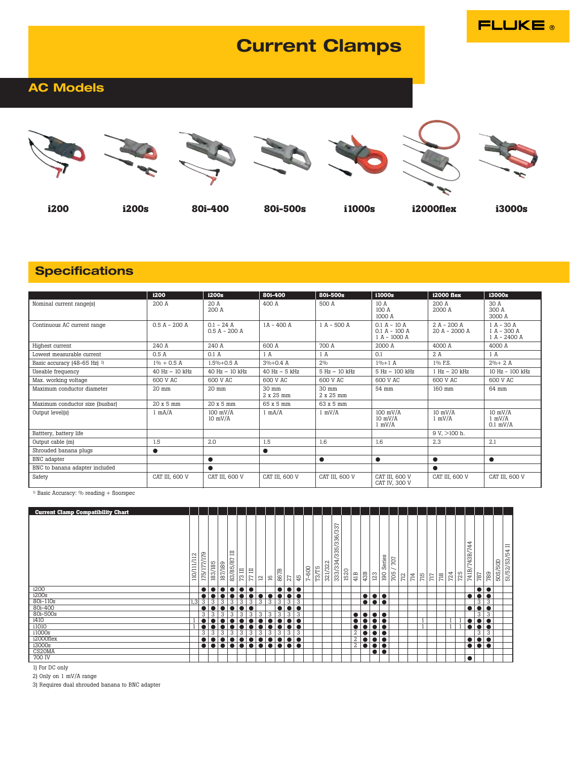# **Current Clamps**

**FLUKE** 

## **AC Models**













**i3000s** 

i200

**i200s** 

80i-400

80i-500s

i1000s

i2000flex

## **Specifications**

|                                         | i200              | i200s                           | 80i-400                      | 80i-500s           | i1000s                                            | <b>i2000</b> flex             | i3000s                                        |
|-----------------------------------------|-------------------|---------------------------------|------------------------------|--------------------|---------------------------------------------------|-------------------------------|-----------------------------------------------|
| Nominal current range(s)                | 200 A             | 20A<br>200A                     | 400 A                        | 500 A              | 10 A<br>100 A<br>1000 A                           | 200A<br>2000 A                | 30 A<br>300 A<br>3000 A                       |
| Continuous AC current range             | $0.5 A - 200 A$   | $0.1 - 24$ A<br>$0.5 A - 200 A$ | 1A - 400 A                   | $1 A - 500 A$      | $0.1 A - 10 A$<br>$0.1 A - 100 A$<br>1 A - 1000 A | $2A - 200A$<br>20 A - 2000 A  | $1 A - 30 A$<br>1 A - 300 A<br>$1 A - 2400 A$ |
| Highest current                         | 240A              | 240 A                           | 600 A                        | 700 A              | 2000 A                                            | 4000 A                        | 4000 A                                        |
| Lowest measurable current               | 0.5A              | 0.1A                            | 1 A                          | 1A                 | 0.1                                               | 2A                            | 1 A                                           |
| Basic accuracy (48-65 Hz) <sup>1)</sup> | $1\% + 0.5$ A     | $1.5\% + 0.5$ A                 | $3\% + 0.4$ A                | 2.0/0              | $1%+1A$                                           | 1% F.S.                       | $2\% + 2A$                                    |
| Useable frequency                       | $40$ Hz $-10$ kHz | $40$ Hz $-10$ kHz               | $40$ Hz $-5$ kHz             | 5 Hz - 10 kHz      | 5 Hz - 100 kHz                                    | $1 Hz - 20 kHz$               | 10 Hz - 100 kHz                               |
| Max. working voltage                    | 600 V AC          | 600 V AC                        | 600 V AC                     | 600 V AC           | 600 V AC                                          | 600 V AC                      | 600 V AC                                      |
| Maximum conductor diameter              | 20 mm             | 20 mm                           | $30 \text{ mm}$<br>2 x 25 mm | 30 mm<br>2 x 25 mm | 54 mm                                             | 160 mm                        | 64 mm                                         |
| Maximum conductor size (busbar)         | 20 x 5 mm         | 20 x 5 mm                       | 65 x 5 mm                    | 63 x 5 mm          |                                                   |                               |                                               |
| Output level(s)                         | $1 \text{ mA/A}$  | $100$ mV/A<br>$10 \text{ mV/A}$ | $1 \text{ mA}/A$             | $1$ mV/A           | $100$ mV/A<br>$10$ mV/A<br>$1$ mV/A               | $10$ mV/A<br>$1 \text{ mV/A}$ | $10$ mV/ $\AA$<br>$1$ mV/A<br>$0.1$ mV/A      |
| Batttery, battery life                  |                   |                                 |                              |                    |                                                   | $9 V$ , $> 100 h$ .           |                                               |
| Output cable (m)                        | 1.5               | 2.0                             | 1.5                          | 1.6                | 1.6                                               | 2.3                           | 2.1                                           |
| Shrouded banana plugs                   | $\bullet$         |                                 | $\bullet$                    |                    |                                                   |                               |                                               |
| BNC adapter                             |                   |                                 |                              | $\bullet$          | $\bullet$                                         | $\bullet$                     | $\bullet$                                     |
| BNC to banana adapter included          |                   | $\bullet$                       |                              |                    |                                                   | $\bullet$                     |                                               |
| Safety                                  | CAT III, 600 V    | CAT III, 600 V                  | CAT III, 600 V               | CAT III, 600 V     | CAT III, 600 V<br>CAT IV, 300 V                   | CAT III, 600 V                | CAT III, 600 V                                |

<sup>1)</sup> Basic Accuracy: % reading + floorspec

| <b>Current Clamp Compatibility Chart</b> |             |             |                  |         |                         |                |           |                 |                                 |         |                         |    |           |         |                  |                                             |      |                |     |                         |               |                        |     |     |     |                 |       |     |     |                           |                  |     |         |                         |
|------------------------------------------|-------------|-------------|------------------|---------|-------------------------|----------------|-----------|-----------------|---------------------------------|---------|-------------------------|----|-----------|---------|------------------|---------------------------------------------|------|----------------|-----|-------------------------|---------------|------------------------|-----|-----|-----|-----------------|-------|-----|-----|---------------------------|------------------|-----|---------|-------------------------|
|                                          | 110/111/112 | 175/177/179 | 183/185          | 187/189 | 目<br>83/85/87           | 日<br>73        | Ξ<br>77   | $\overline{12}$ | 91                              | m<br>86 | 27                      | 45 | $7 - 600$ | $T3/T5$ | $\sim$<br>321/32 | ∼<br>6/33<br>5/33<br>S<br>က<br>4,<br>333/33 | 1520 | 41B            | 43B | 123                     | Series<br>190 | TO <sub>7</sub><br>705 | 712 | 714 | 715 | $\overline{17}$ | $718$ | 724 | 725 | 44<br>L.<br>743B,<br>741B | 787              | 789 | 50S/50D | $\equiv$<br>51/52/53/54 |
| i200                                     |             |             |                  |         | $\bullet$               | $\bullet$      |           |                 |                                 |         | $\bullet\bullet\bullet$ |    |           |         |                  |                                             |      |                |     |                         |               |                        |     |     |     |                 |       |     |     |                           | $\bullet\bullet$ |     |         |                         |
| i200s                                    |             |             |                  |         |                         |                |           | <b>.</b>        | lo                              |         | $\bullet\bullet\bullet$ |    |           |         |                  |                                             |      |                |     | $  \bullet   \bullet$   |               |                        |     |     |     |                 |       |     |     |                           | $\bullet\bullet$ |     |         |                         |
| 80i-110s                                 | 1,3         | 3           | 3                | 3       | 3                       | 3              | 3         | 3               | 3                               | 3       | 3                       | 3  |           |         |                  |                                             |      |                |     | $\bullet\bullet\bullet$ |               |                        |     |     |     |                 |       |     |     |                           | 3                | 3   |         |                         |
| 80i-400                                  |             |             |                  |         |                         | $\bullet$      |           |                 |                                 |         | $\bullet\bullet$        |    |           |         |                  |                                             |      |                |     |                         |               |                        |     |     |     |                 |       |     |     |                           | $\bullet\bullet$ |     |         |                         |
| 80i-500s                                 |             | 3           | 3                | 3       | 3                       | $\overline{3}$ | 3         | 3               | 3                               | 3       | 3                       | 3  |           |         |                  |                                             |      | $\bullet$      |     |                         |               |                        |     |     |     |                 |       |     |     |                           | 3                | 3   |         |                         |
| i410                                     |             |             |                  |         |                         |                |           |                 |                                 |         | $\bullet\bullet$        |    |           |         |                  |                                             |      |                |     | I <b>.</b> .            |               |                        |     |     |     |                 |       |     |     |                           | $\bullet\bullet$ |     |         |                         |
| i1010                                    |             |             |                  |         | $\bullet$               | $\bullet$      |           |                 | $\bullet$                       |         | $\bullet\bullet\bullet$ |    |           |         |                  |                                             |      |                |     | $\bullet\bullet$        |               |                        |     |     |     |                 |       |     |     |                           | $\bullet\bullet$ |     |         |                         |
| i1000s                                   |             | 3           | 3                | 3       | 3                       | 3              | 3         | 3               | $\overline{3}$                  | 3       | 3                       | 3  |           |         |                  |                                             |      | $\overline{2}$ |     | $\bullet\bullet$        |               |                        |     |     |     |                 |       |     |     |                           | 3                | 3   |         |                         |
| i2000flex                                |             |             |                  |         | $\bullet$               | $\bullet$      | $\bullet$ | <b>A</b>        | $\mathbf{1} \bullet \mathbf{1}$ |         | $\bullet\bullet\bullet$ |    |           |         |                  |                                             |      | 2              |     | $\bullet\bullet$        |               |                        |     |     |     |                 |       |     |     |                           | $\bullet\bullet$ |     |         |                         |
| i3000s                                   |             |             | $\bullet\bullet$ |         | $\bullet\bullet\bullet$ |                |           |                 |                                 |         | $\bullet\bullet\bullet$ |    |           |         |                  |                                             |      | $\overline{2}$ |     | $\bullet\bullet$        |               |                        |     |     |     |                 |       |     |     | $\bullet$                 | $\bullet$        |     |         |                         |
| CS20MA                                   |             |             |                  |         |                         |                |           |                 |                                 |         |                         |    |           |         |                  |                                             |      |                |     | $\bullet\bullet$        |               |                        |     |     |     |                 |       |     |     |                           |                  |     |         |                         |
| 700 IV                                   |             |             |                  |         |                         |                |           |                 |                                 |         |                         |    |           |         |                  |                                             |      |                |     |                         |               |                        |     |     |     |                 |       |     |     | $\bullet$                 |                  |     |         |                         |

1) For DC only

2) Only on 1 mV/A range

3) Requires dual shrouded banana to BNC adapter